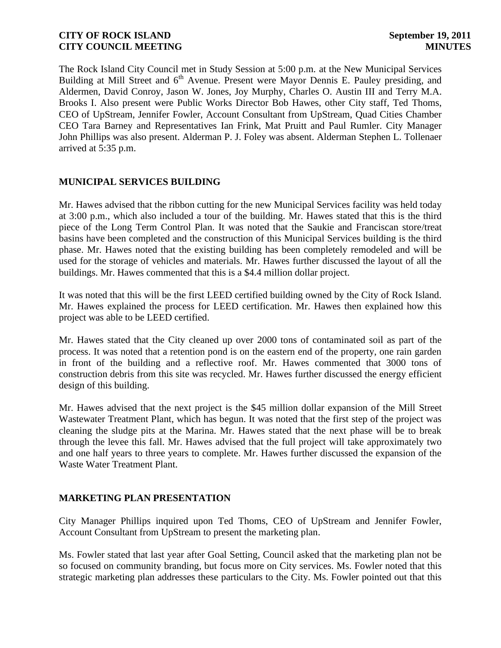The Rock Island City Council met in Study Session at 5:00 p.m. at the New Municipal Services Building at Mill Street and 6<sup>th</sup> Avenue. Present were Mayor Dennis E. Pauley presiding, and Aldermen, David Conroy, Jason W. Jones, Joy Murphy, Charles O. Austin III and Terry M.A. Brooks I. Also present were Public Works Director Bob Hawes, other City staff, Ted Thoms, CEO of UpStream, Jennifer Fowler, Account Consultant from UpStream, Quad Cities Chamber CEO Tara Barney and Representatives Ian Frink, Mat Pruitt and Paul Rumler. City Manager John Phillips was also present. Alderman P. J. Foley was absent. Alderman Stephen L. Tollenaer arrived at 5:35 p.m.

# **MUNICIPAL SERVICES BUILDING**

Mr. Hawes advised that the ribbon cutting for the new Municipal Services facility was held today at 3:00 p.m., which also included a tour of the building. Mr. Hawes stated that this is the third piece of the Long Term Control Plan. It was noted that the Saukie and Franciscan store/treat basins have been completed and the construction of this Municipal Services building is the third phase. Mr. Hawes noted that the existing building has been completely remodeled and will be used for the storage of vehicles and materials. Mr. Hawes further discussed the layout of all the buildings. Mr. Hawes commented that this is a \$4.4 million dollar project.

It was noted that this will be the first LEED certified building owned by the City of Rock Island. Mr. Hawes explained the process for LEED certification. Mr. Hawes then explained how this project was able to be LEED certified.

Mr. Hawes stated that the City cleaned up over 2000 tons of contaminated soil as part of the process. It was noted that a retention pond is on the eastern end of the property, one rain garden in front of the building and a reflective roof. Mr. Hawes commented that 3000 tons of construction debris from this site was recycled. Mr. Hawes further discussed the energy efficient design of this building.

Mr. Hawes advised that the next project is the \$45 million dollar expansion of the Mill Street Wastewater Treatment Plant, which has begun. It was noted that the first step of the project was cleaning the sludge pits at the Marina. Mr. Hawes stated that the next phase will be to break through the levee this fall. Mr. Hawes advised that the full project will take approximately two and one half years to three years to complete. Mr. Hawes further discussed the expansion of the Waste Water Treatment Plant.

### **MARKETING PLAN PRESENTATION**

City Manager Phillips inquired upon Ted Thoms, CEO of UpStream and Jennifer Fowler, Account Consultant from UpStream to present the marketing plan.

Ms. Fowler stated that last year after Goal Setting, Council asked that the marketing plan not be so focused on community branding, but focus more on City services. Ms. Fowler noted that this strategic marketing plan addresses these particulars to the City. Ms. Fowler pointed out that this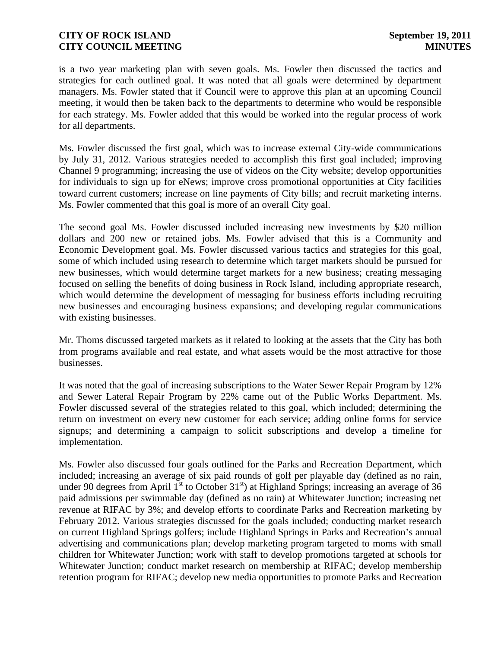is a two year marketing plan with seven goals. Ms. Fowler then discussed the tactics and strategies for each outlined goal. It was noted that all goals were determined by department managers. Ms. Fowler stated that if Council were to approve this plan at an upcoming Council meeting, it would then be taken back to the departments to determine who would be responsible for each strategy. Ms. Fowler added that this would be worked into the regular process of work for all departments.

Ms. Fowler discussed the first goal, which was to increase external City-wide communications by July 31, 2012. Various strategies needed to accomplish this first goal included; improving Channel 9 programming; increasing the use of videos on the City website; develop opportunities for individuals to sign up for eNews; improve cross promotional opportunities at City facilities toward current customers; increase on line payments of City bills; and recruit marketing interns. Ms. Fowler commented that this goal is more of an overall City goal.

The second goal Ms. Fowler discussed included increasing new investments by \$20 million dollars and 200 new or retained jobs. Ms. Fowler advised that this is a Community and Economic Development goal. Ms. Fowler discussed various tactics and strategies for this goal, some of which included using research to determine which target markets should be pursued for new businesses, which would determine target markets for a new business; creating messaging focused on selling the benefits of doing business in Rock Island, including appropriate research, which would determine the development of messaging for business efforts including recruiting new businesses and encouraging business expansions; and developing regular communications with existing businesses.

Mr. Thoms discussed targeted markets as it related to looking at the assets that the City has both from programs available and real estate, and what assets would be the most attractive for those businesses.

It was noted that the goal of increasing subscriptions to the Water Sewer Repair Program by 12% and Sewer Lateral Repair Program by 22% came out of the Public Works Department. Ms. Fowler discussed several of the strategies related to this goal, which included; determining the return on investment on every new customer for each service; adding online forms for service signups; and determining a campaign to solicit subscriptions and develop a timeline for implementation.

Ms. Fowler also discussed four goals outlined for the Parks and Recreation Department, which included; increasing an average of six paid rounds of golf per playable day (defined as no rain, under 90 degrees from April  $1<sup>st</sup>$  to October 31<sup>st</sup>) at Highland Springs; increasing an average of 36 paid admissions per swimmable day (defined as no rain) at Whitewater Junction; increasing net revenue at RIFAC by 3%; and develop efforts to coordinate Parks and Recreation marketing by February 2012. Various strategies discussed for the goals included; conducting market research on current Highland Springs golfers; include Highland Springs in Parks and Recreation's annual advertising and communications plan; develop marketing program targeted to moms with small children for Whitewater Junction; work with staff to develop promotions targeted at schools for Whitewater Junction; conduct market research on membership at RIFAC; develop membership retention program for RIFAC; develop new media opportunities to promote Parks and Recreation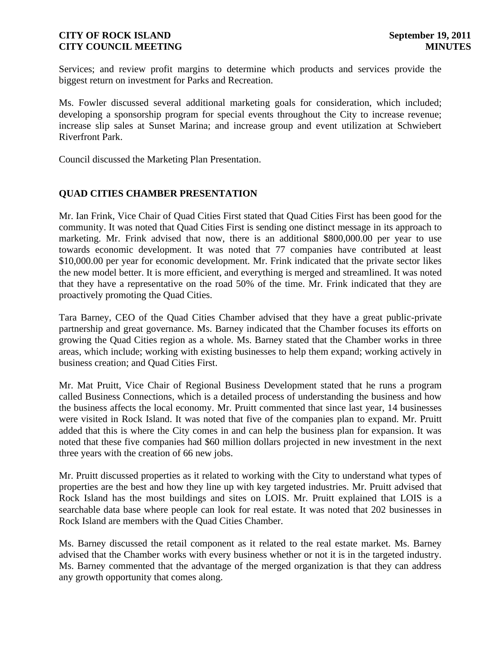Services; and review profit margins to determine which products and services provide the biggest return on investment for Parks and Recreation.

Ms. Fowler discussed several additional marketing goals for consideration, which included; developing a sponsorship program for special events throughout the City to increase revenue; increase slip sales at Sunset Marina; and increase group and event utilization at Schwiebert Riverfront Park.

Council discussed the Marketing Plan Presentation.

# **QUAD CITIES CHAMBER PRESENTATION**

Mr. Ian Frink, Vice Chair of Quad Cities First stated that Quad Cities First has been good for the community. It was noted that Quad Cities First is sending one distinct message in its approach to marketing. Mr. Frink advised that now, there is an additional \$800,000.00 per year to use towards economic development. It was noted that 77 companies have contributed at least \$10,000.00 per year for economic development. Mr. Frink indicated that the private sector likes the new model better. It is more efficient, and everything is merged and streamlined. It was noted that they have a representative on the road 50% of the time. Mr. Frink indicated that they are proactively promoting the Quad Cities.

Tara Barney, CEO of the Quad Cities Chamber advised that they have a great public-private partnership and great governance. Ms. Barney indicated that the Chamber focuses its efforts on growing the Quad Cities region as a whole. Ms. Barney stated that the Chamber works in three areas, which include; working with existing businesses to help them expand; working actively in business creation; and Quad Cities First.

Mr. Mat Pruitt, Vice Chair of Regional Business Development stated that he runs a program called Business Connections, which is a detailed process of understanding the business and how the business affects the local economy. Mr. Pruitt commented that since last year, 14 businesses were visited in Rock Island. It was noted that five of the companies plan to expand. Mr. Pruitt added that this is where the City comes in and can help the business plan for expansion. It was noted that these five companies had \$60 million dollars projected in new investment in the next three years with the creation of 66 new jobs.

Mr. Pruitt discussed properties as it related to working with the City to understand what types of properties are the best and how they line up with key targeted industries. Mr. Pruitt advised that Rock Island has the most buildings and sites on LOIS. Mr. Pruitt explained that LOIS is a searchable data base where people can look for real estate. It was noted that 202 businesses in Rock Island are members with the Quad Cities Chamber.

Ms. Barney discussed the retail component as it related to the real estate market. Ms. Barney advised that the Chamber works with every business whether or not it is in the targeted industry. Ms. Barney commented that the advantage of the merged organization is that they can address any growth opportunity that comes along.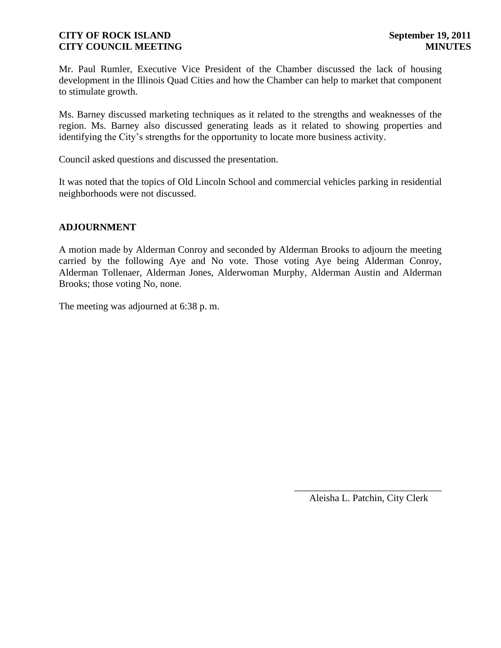Mr. Paul Rumler, Executive Vice President of the Chamber discussed the lack of housing development in the Illinois Quad Cities and how the Chamber can help to market that component to stimulate growth.

Ms. Barney discussed marketing techniques as it related to the strengths and weaknesses of the region. Ms. Barney also discussed generating leads as it related to showing properties and identifying the City's strengths for the opportunity to locate more business activity.

Council asked questions and discussed the presentation.

It was noted that the topics of Old Lincoln School and commercial vehicles parking in residential neighborhoods were not discussed.

### **ADJOURNMENT**

A motion made by Alderman Conroy and seconded by Alderman Brooks to adjourn the meeting carried by the following Aye and No vote. Those voting Aye being Alderman Conroy, Alderman Tollenaer, Alderman Jones, Alderwoman Murphy, Alderman Austin and Alderman Brooks; those voting No, none.

The meeting was adjourned at 6:38 p. m.

\_\_\_\_\_\_\_\_\_\_\_\_\_\_\_\_\_\_\_\_\_\_\_\_\_\_\_\_\_\_ Aleisha L. Patchin, City Clerk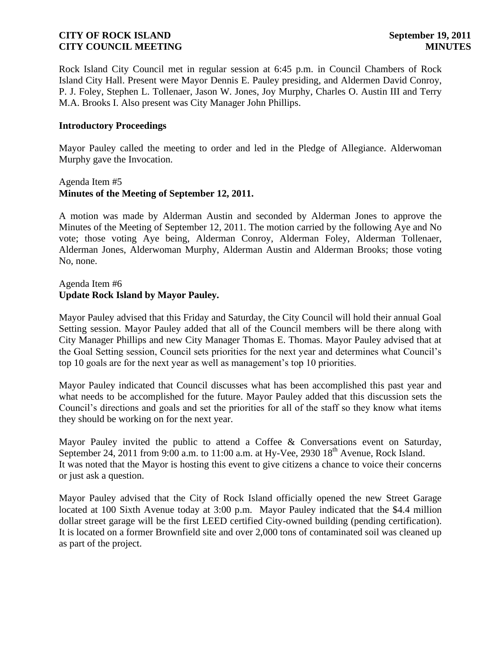Rock Island City Council met in regular session at 6:45 p.m. in Council Chambers of Rock Island City Hall. Present were Mayor Dennis E. Pauley presiding, and Aldermen David Conroy, P. J. Foley, Stephen L. Tollenaer, Jason W. Jones, Joy Murphy, Charles O. Austin III and Terry M.A. Brooks I. Also present was City Manager John Phillips.

#### **Introductory Proceedings**

Mayor Pauley called the meeting to order and led in the Pledge of Allegiance. Alderwoman Murphy gave the Invocation.

### Agenda Item #5 **Minutes of the Meeting of September 12, 2011.**

A motion was made by Alderman Austin and seconded by Alderman Jones to approve the Minutes of the Meeting of September 12, 2011. The motion carried by the following Aye and No vote; those voting Aye being, Alderman Conroy, Alderman Foley, Alderman Tollenaer, Alderman Jones, Alderwoman Murphy, Alderman Austin and Alderman Brooks; those voting No, none.

### Agenda Item #6 **Update Rock Island by Mayor Pauley.**

Mayor Pauley advised that this Friday and Saturday, the City Council will hold their annual Goal Setting session. Mayor Pauley added that all of the Council members will be there along with City Manager Phillips and new City Manager Thomas E. Thomas. Mayor Pauley advised that at the Goal Setting session, Council sets priorities for the next year and determines what Council's top 10 goals are for the next year as well as management's top 10 priorities.

Mayor Pauley indicated that Council discusses what has been accomplished this past year and what needs to be accomplished for the future. Mayor Pauley added that this discussion sets the Council's directions and goals and set the priorities for all of the staff so they know what items they should be working on for the next year.

Mayor Pauley invited the public to attend a Coffee & Conversations event on Saturday, September 24, 2011 from 9:00 a.m. to 11:00 a.m. at Hy-Vee, 2930  $18<sup>th</sup>$  Avenue, Rock Island. It was noted that the Mayor is hosting this event to give citizens a chance to voice their concerns or just ask a question.

Mayor Pauley advised that the City of Rock Island officially opened the new Street Garage located at 100 Sixth Avenue today at 3:00 p.m. Mayor Pauley indicated that the \$4.4 million dollar street garage will be the first LEED certified City-owned building (pending certification). It is located on a former Brownfield site and over 2,000 tons of contaminated soil was cleaned up as part of the project.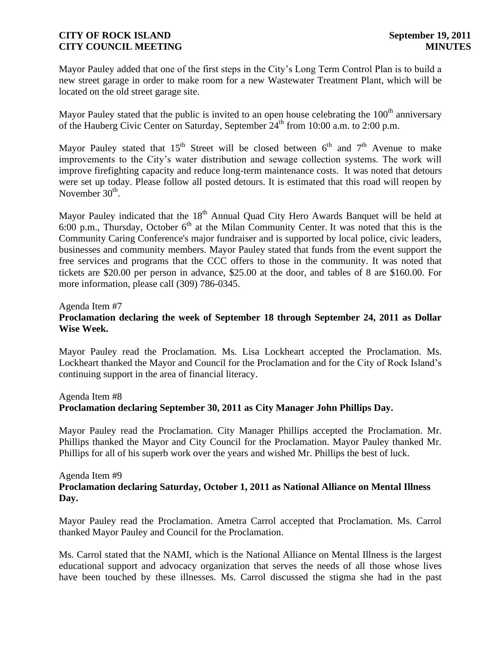Mayor Pauley added that one of the first steps in the City's Long Term Control Plan is to build a new street garage in order to make room for a new Wastewater Treatment Plant, which will be located on the old street garage site.

Mayor Pauley stated that the public is invited to an open house celebrating the  $100<sup>th</sup>$  anniversary of the Hauberg Civic Center on Saturday, September 24<sup>th</sup> from 10:00 a.m. to 2:00 p.m.

Mayor Pauley stated that 15<sup>th</sup> Street will be closed between  $6<sup>th</sup>$  and  $7<sup>th</sup>$  Avenue to make improvements to the City's water distribution and sewage collection systems. The work will improve firefighting capacity and reduce long-term maintenance costs. It was noted that detours were set up today. Please follow all posted detours. It is estimated that this road will reopen by November  $30<sup>th</sup>$ .

Mayor Pauley indicated that the 18<sup>th</sup> Annual Quad City Hero Awards Banquet will be held at 6:00 p.m., Thursday, October  $6<sup>th</sup>$  at the Milan Community Center. It was noted that this is the Community Caring Conference's major fundraiser and is supported by local police, civic leaders, businesses and community members. Mayor Pauley stated that funds from the event support the free services and programs that the CCC offers to those in the community. It was noted that tickets are \$20.00 per person in advance, \$25.00 at the door, and tables of 8 are \$160.00. For more information, please call (309) 786-0345.

### Agenda Item #7

# **Proclamation declaring the week of September 18 through September 24, 2011 as Dollar Wise Week.**

Mayor Pauley read the Proclamation. Ms. Lisa Lockheart accepted the Proclamation. Ms. Lockheart thanked the Mayor and Council for the Proclamation and for the City of Rock Island's continuing support in the area of financial literacy.

#### Agenda Item #8

### **Proclamation declaring September 30, 2011 as City Manager John Phillips Day.**

Mayor Pauley read the Proclamation. City Manager Phillips accepted the Proclamation. Mr. Phillips thanked the Mayor and City Council for the Proclamation. Mayor Pauley thanked Mr. Phillips for all of his superb work over the years and wished Mr. Phillips the best of luck.

### Agenda Item #9

# **Proclamation declaring Saturday, October 1, 2011 as National Alliance on Mental Illness Day.**

Mayor Pauley read the Proclamation. Ametra Carrol accepted that Proclamation. Ms. Carrol thanked Mayor Pauley and Council for the Proclamation.

Ms. Carrol stated that the NAMI, which is the National Alliance on Mental Illness is the largest educational support and advocacy organization that serves the needs of all those whose lives have been touched by these illnesses. Ms. Carrol discussed the stigma she had in the past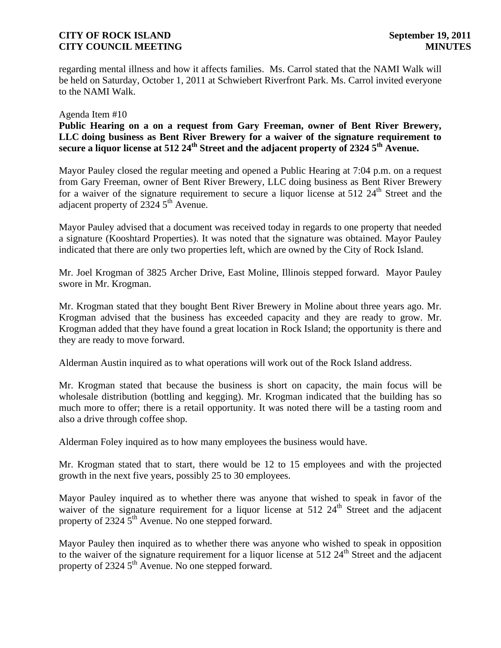regarding mental illness and how it affects families. Ms. Carrol stated that the NAMI Walk will be held on Saturday, October 1, 2011 at Schwiebert Riverfront Park. Ms. Carrol invited everyone to the NAMI Walk.

#### Agenda Item #10

**Public Hearing on a on a request from Gary Freeman, owner of Bent River Brewery, LLC doing business as Bent River Brewery for a waiver of the signature requirement to secure a liquor license at 512 24th Street and the adjacent property of 2324 5th Avenue.** 

Mayor Pauley closed the regular meeting and opened a Public Hearing at 7:04 p.m. on a request from Gary Freeman, owner of Bent River Brewery, LLC doing business as Bent River Brewery for a waiver of the signature requirement to secure a liquor license at  $512\;24<sup>th</sup>$  Street and the adjacent property of  $2324.5^{\text{th}}$  Avenue.

Mayor Pauley advised that a document was received today in regards to one property that needed a signature (Kooshtard Properties). It was noted that the signature was obtained. Mayor Pauley indicated that there are only two properties left, which are owned by the City of Rock Island.

Mr. Joel Krogman of 3825 Archer Drive, East Moline, Illinois stepped forward. Mayor Pauley swore in Mr. Krogman.

Mr. Krogman stated that they bought Bent River Brewery in Moline about three years ago. Mr. Krogman advised that the business has exceeded capacity and they are ready to grow. Mr. Krogman added that they have found a great location in Rock Island; the opportunity is there and they are ready to move forward.

Alderman Austin inquired as to what operations will work out of the Rock Island address.

Mr. Krogman stated that because the business is short on capacity, the main focus will be wholesale distribution (bottling and kegging). Mr. Krogman indicated that the building has so much more to offer; there is a retail opportunity. It was noted there will be a tasting room and also a drive through coffee shop.

Alderman Foley inquired as to how many employees the business would have.

Mr. Krogman stated that to start, there would be 12 to 15 employees and with the projected growth in the next five years, possibly 25 to 30 employees.

Mayor Pauley inquired as to whether there was anyone that wished to speak in favor of the waiver of the signature requirement for a liquor license at  $512 \, 24^{\text{th}}$  Street and the adjacent property of  $2324.5<sup>th</sup>$  Avenue. No one stepped forward.

Mayor Pauley then inquired as to whether there was anyone who wished to speak in opposition to the waiver of the signature requirement for a liquor license at  $512.24<sup>th</sup>$  Street and the adjacent property of 2324  $5<sup>th</sup>$  Avenue. No one stepped forward.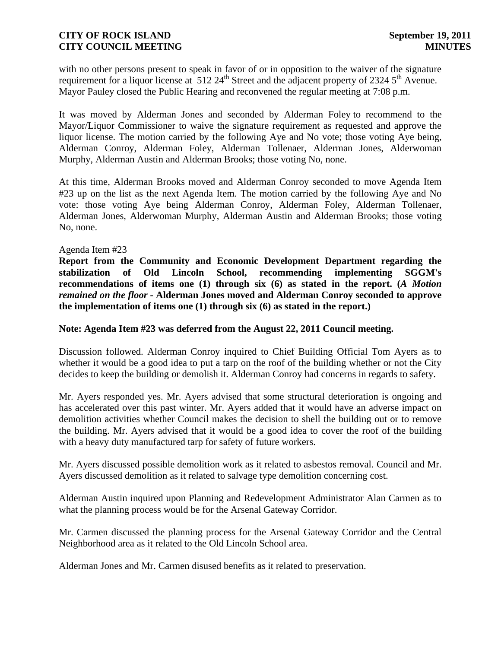with no other persons present to speak in favor of or in opposition to the waiver of the signature requirement for a liquor license at  $512.24<sup>th</sup>$  Street and the adjacent property of 2324  $5<sup>th</sup>$  Avenue. Mayor Pauley closed the Public Hearing and reconvened the regular meeting at 7:08 p.m.

It was moved by Alderman Jones and seconded by Alderman Foley to recommend to the Mayor/Liquor Commissioner to waive the signature requirement as requested and approve the liquor license. The motion carried by the following Aye and No vote; those voting Aye being, Alderman Conroy, Alderman Foley, Alderman Tollenaer, Alderman Jones, Alderwoman Murphy, Alderman Austin and Alderman Brooks; those voting No, none.

At this time, Alderman Brooks moved and Alderman Conroy seconded to move Agenda Item #23 up on the list as the next Agenda Item. The motion carried by the following Aye and No vote: those voting Aye being Alderman Conroy, Alderman Foley, Alderman Tollenaer, Alderman Jones, Alderwoman Murphy, Alderman Austin and Alderman Brooks; those voting No, none.

### Agenda Item #23

**Report from the Community and Economic Development Department regarding the stabilization of Old Lincoln School, recommending implementing SGGM's recommendations of items one (1) through six (6) as stated in the report. (***A Motion remained on the floor -* **Alderman Jones moved and Alderman Conroy seconded to approve the implementation of items one (1) through six (6) as stated in the report.)**

### **Note: Agenda Item #23 was deferred from the August 22, 2011 Council meeting.**

Discussion followed. Alderman Conroy inquired to Chief Building Official Tom Ayers as to whether it would be a good idea to put a tarp on the roof of the building whether or not the City decides to keep the building or demolish it. Alderman Conroy had concerns in regards to safety.

Mr. Ayers responded yes. Mr. Ayers advised that some structural deterioration is ongoing and has accelerated over this past winter. Mr. Ayers added that it would have an adverse impact on demolition activities whether Council makes the decision to shell the building out or to remove the building. Mr. Ayers advised that it would be a good idea to cover the roof of the building with a heavy duty manufactured tarp for safety of future workers.

Mr. Ayers discussed possible demolition work as it related to asbestos removal. Council and Mr. Ayers discussed demolition as it related to salvage type demolition concerning cost.

Alderman Austin inquired upon Planning and Redevelopment Administrator Alan Carmen as to what the planning process would be for the Arsenal Gateway Corridor.

Mr. Carmen discussed the planning process for the Arsenal Gateway Corridor and the Central Neighborhood area as it related to the Old Lincoln School area.

Alderman Jones and Mr. Carmen disused benefits as it related to preservation.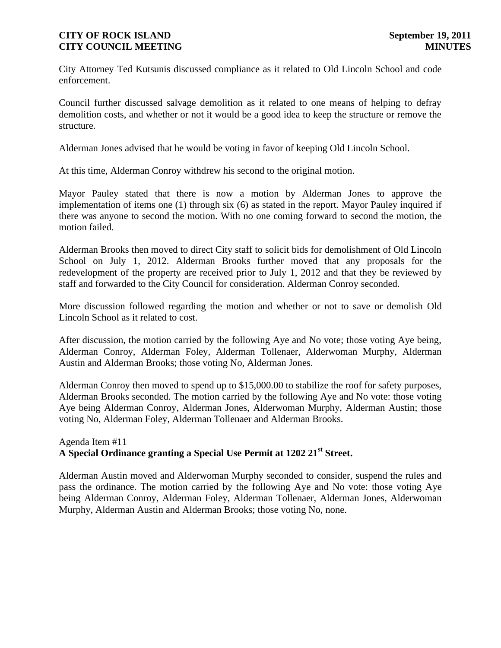City Attorney Ted Kutsunis discussed compliance as it related to Old Lincoln School and code enforcement.

Council further discussed salvage demolition as it related to one means of helping to defray demolition costs, and whether or not it would be a good idea to keep the structure or remove the structure.

Alderman Jones advised that he would be voting in favor of keeping Old Lincoln School.

At this time, Alderman Conroy withdrew his second to the original motion.

Mayor Pauley stated that there is now a motion by Alderman Jones to approve the implementation of items one (1) through six (6) as stated in the report. Mayor Pauley inquired if there was anyone to second the motion. With no one coming forward to second the motion, the motion failed.

Alderman Brooks then moved to direct City staff to solicit bids for demolishment of Old Lincoln School on July 1, 2012. Alderman Brooks further moved that any proposals for the redevelopment of the property are received prior to July 1, 2012 and that they be reviewed by staff and forwarded to the City Council for consideration. Alderman Conroy seconded.

More discussion followed regarding the motion and whether or not to save or demolish Old Lincoln School as it related to cost.

After discussion, the motion carried by the following Aye and No vote; those voting Aye being, Alderman Conroy, Alderman Foley, Alderman Tollenaer, Alderwoman Murphy, Alderman Austin and Alderman Brooks; those voting No, Alderman Jones.

Alderman Conroy then moved to spend up to \$15,000.00 to stabilize the roof for safety purposes, Alderman Brooks seconded. The motion carried by the following Aye and No vote: those voting Aye being Alderman Conroy, Alderman Jones, Alderwoman Murphy, Alderman Austin; those voting No, Alderman Foley, Alderman Tollenaer and Alderman Brooks.

# Agenda Item #11 **A Special Ordinance granting a Special Use Permit at 1202 21st Street.**

Alderman Austin moved and Alderwoman Murphy seconded to consider, suspend the rules and pass the ordinance. The motion carried by the following Aye and No vote: those voting Aye being Alderman Conroy, Alderman Foley, Alderman Tollenaer, Alderman Jones, Alderwoman Murphy, Alderman Austin and Alderman Brooks; those voting No, none.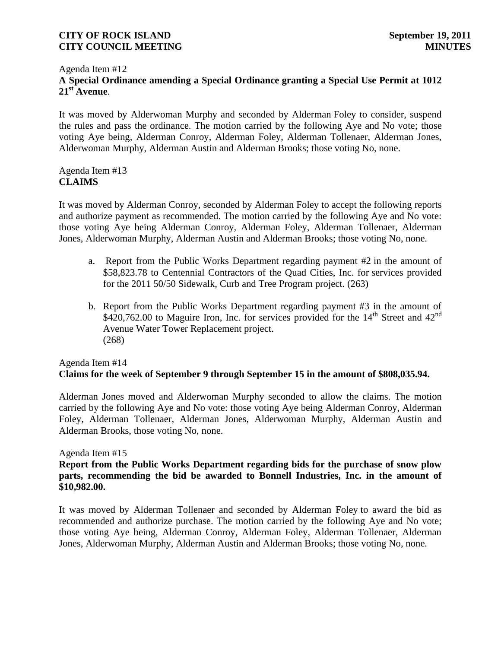### Agenda Item #12 **A Special Ordinance amending a Special Ordinance granting a Special Use Permit at 1012**   $21<sup>st</sup>$  **Avenue.**

It was moved by Alderwoman Murphy and seconded by Alderman Foley to consider, suspend the rules and pass the ordinance. The motion carried by the following Aye and No vote; those voting Aye being, Alderman Conroy, Alderman Foley, Alderman Tollenaer, Alderman Jones, Alderwoman Murphy, Alderman Austin and Alderman Brooks; those voting No, none.

## Agenda Item #13 **CLAIMS**

It was moved by Alderman Conroy, seconded by Alderman Foley to accept the following reports and authorize payment as recommended. The motion carried by the following Aye and No vote: those voting Aye being Alderman Conroy, Alderman Foley, Alderman Tollenaer, Alderman Jones, Alderwoman Murphy, Alderman Austin and Alderman Brooks; those voting No, none.

- a. Report from the Public Works Department regarding payment #2 in the amount of \$58,823.78 to Centennial Contractors of the Quad Cities, Inc. for services provided for the 2011 50/50 Sidewalk, Curb and Tree Program project. (263)
- b. Report from the Public Works Department regarding payment #3 in the amount of  $$420,762.00$  to Maguire Iron, Inc. for services provided for the  $14<sup>th</sup>$  Street and  $42<sup>nd</sup>$ Avenue Water Tower Replacement project. (268)

# Agenda Item #14 **Claims for the week of September 9 through September 15 in the amount of \$808,035.94.**

Alderman Jones moved and Alderwoman Murphy seconded to allow the claims. The motion carried by the following Aye and No vote: those voting Aye being Alderman Conroy, Alderman Foley, Alderman Tollenaer, Alderman Jones, Alderwoman Murphy, Alderman Austin and Alderman Brooks, those voting No, none.

### Agenda Item #15

**Report from the Public Works Department regarding bids for the purchase of snow plow parts, recommending the bid be awarded to Bonnell Industries, Inc. in the amount of \$10,982.00.**

It was moved by Alderman Tollenaer and seconded by Alderman Foley to award the bid as recommended and authorize purchase. The motion carried by the following Aye and No vote; those voting Aye being, Alderman Conroy, Alderman Foley, Alderman Tollenaer, Alderman Jones, Alderwoman Murphy, Alderman Austin and Alderman Brooks; those voting No, none.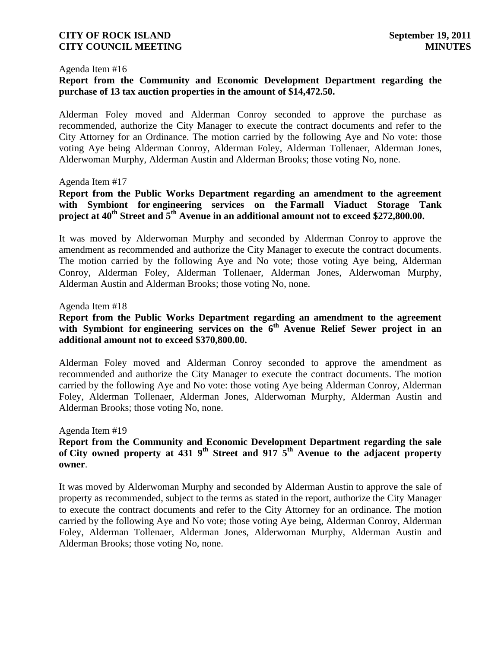#### Agenda Item #16

# **Report from the Community and Economic Development Department regarding the purchase of 13 tax auction properties in the amount of \$14,472.50.**

Alderman Foley moved and Alderman Conroy seconded to approve the purchase as recommended, authorize the City Manager to execute the contract documents and refer to the City Attorney for an Ordinance. The motion carried by the following Aye and No vote: those voting Aye being Alderman Conroy, Alderman Foley, Alderman Tollenaer, Alderman Jones, Alderwoman Murphy, Alderman Austin and Alderman Brooks; those voting No, none.

#### Agenda Item #17

**Report from the Public Works Department regarding an amendment to the agreement with Symbiont for engineering services on the Farmall Viaduct Storage Tank project at 40th Street and 5th Avenue in an additional amount not to exceed \$272,800.00.**

It was moved by Alderwoman Murphy and seconded by Alderman Conroy to approve the amendment as recommended and authorize the City Manager to execute the contract documents. The motion carried by the following Aye and No vote; those voting Aye being, Alderman Conroy, Alderman Foley, Alderman Tollenaer, Alderman Jones, Alderwoman Murphy, Alderman Austin and Alderman Brooks; those voting No, none.

#### Agenda Item #18

# **Report from the Public Works Department regarding an amendment to the agreement**  with Symbiont for engineering services on the 6<sup>th</sup> Avenue Relief Sewer project in an **additional amount not to exceed \$370,800.00.**

Alderman Foley moved and Alderman Conroy seconded to approve the amendment as recommended and authorize the City Manager to execute the contract documents. The motion carried by the following Aye and No vote: those voting Aye being Alderman Conroy, Alderman Foley, Alderman Tollenaer, Alderman Jones, Alderwoman Murphy, Alderman Austin and Alderman Brooks; those voting No, none.

#### Agenda Item #19

### **Report from the Community and Economic Development Department regarding the sale of City owned property at 431 9th Street and 917 5th Avenue to the adjacent property owner**.

It was moved by Alderwoman Murphy and seconded by Alderman Austin to approve the sale of property as recommended, subject to the terms as stated in the report, authorize the City Manager to execute the contract documents and refer to the City Attorney for an ordinance. The motion carried by the following Aye and No vote; those voting Aye being, Alderman Conroy, Alderman Foley, Alderman Tollenaer, Alderman Jones, Alderwoman Murphy, Alderman Austin and Alderman Brooks; those voting No, none.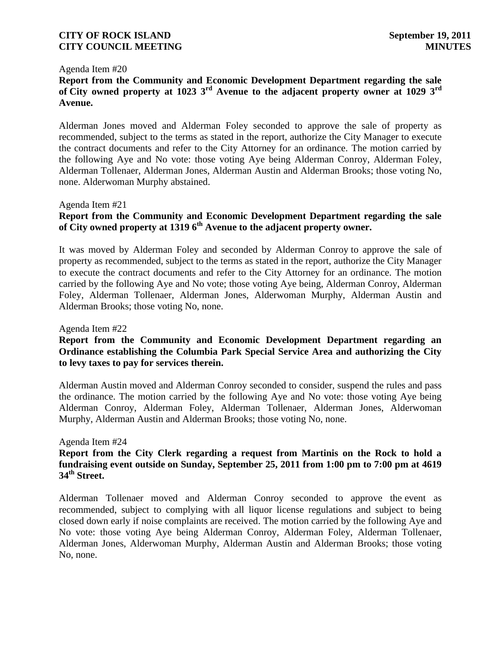#### Agenda Item #20

# **Report from the Community and Economic Development Department regarding the sale of City owned property at 1023 3rd Avenue to the adjacent property owner at 1029 3rd Avenue.**

Alderman Jones moved and Alderman Foley seconded to approve the sale of property as recommended, subject to the terms as stated in the report, authorize the City Manager to execute the contract documents and refer to the City Attorney for an ordinance. The motion carried by the following Aye and No vote: those voting Aye being Alderman Conroy, Alderman Foley, Alderman Tollenaer, Alderman Jones, Alderman Austin and Alderman Brooks; those voting No, none. Alderwoman Murphy abstained.

#### Agenda Item #21

# **Report from the Community and Economic Development Department regarding the sale of City owned property at 1319 6th Avenue to the adjacent property owner.**

It was moved by Alderman Foley and seconded by Alderman Conroy to approve the sale of property as recommended, subject to the terms as stated in the report, authorize the City Manager to execute the contract documents and refer to the City Attorney for an ordinance. The motion carried by the following Aye and No vote; those voting Aye being, Alderman Conroy, Alderman Foley, Alderman Tollenaer, Alderman Jones, Alderwoman Murphy, Alderman Austin and Alderman Brooks; those voting No, none.

#### Agenda Item #22

# **Report from the Community and Economic Development Department regarding an Ordinance establishing the Columbia Park Special Service Area and authorizing the City to levy taxes to pay for services therein.**

Alderman Austin moved and Alderman Conroy seconded to consider, suspend the rules and pass the ordinance. The motion carried by the following Aye and No vote: those voting Aye being Alderman Conroy, Alderman Foley, Alderman Tollenaer, Alderman Jones, Alderwoman Murphy, Alderman Austin and Alderman Brooks; those voting No, none.

#### Agenda Item #24

# **Report from the City Clerk regarding a request from Martinis on the Rock to hold a fundraising event outside on Sunday, September 25, 2011 from 1:00 pm to 7:00 pm at 4619 34th Street.**

Alderman Tollenaer moved and Alderman Conroy seconded to approve the event as recommended, subject to complying with all liquor license regulations and subject to being closed down early if noise complaints are received. The motion carried by the following Aye and No vote: those voting Aye being Alderman Conroy, Alderman Foley, Alderman Tollenaer, Alderman Jones, Alderwoman Murphy, Alderman Austin and Alderman Brooks; those voting No, none.